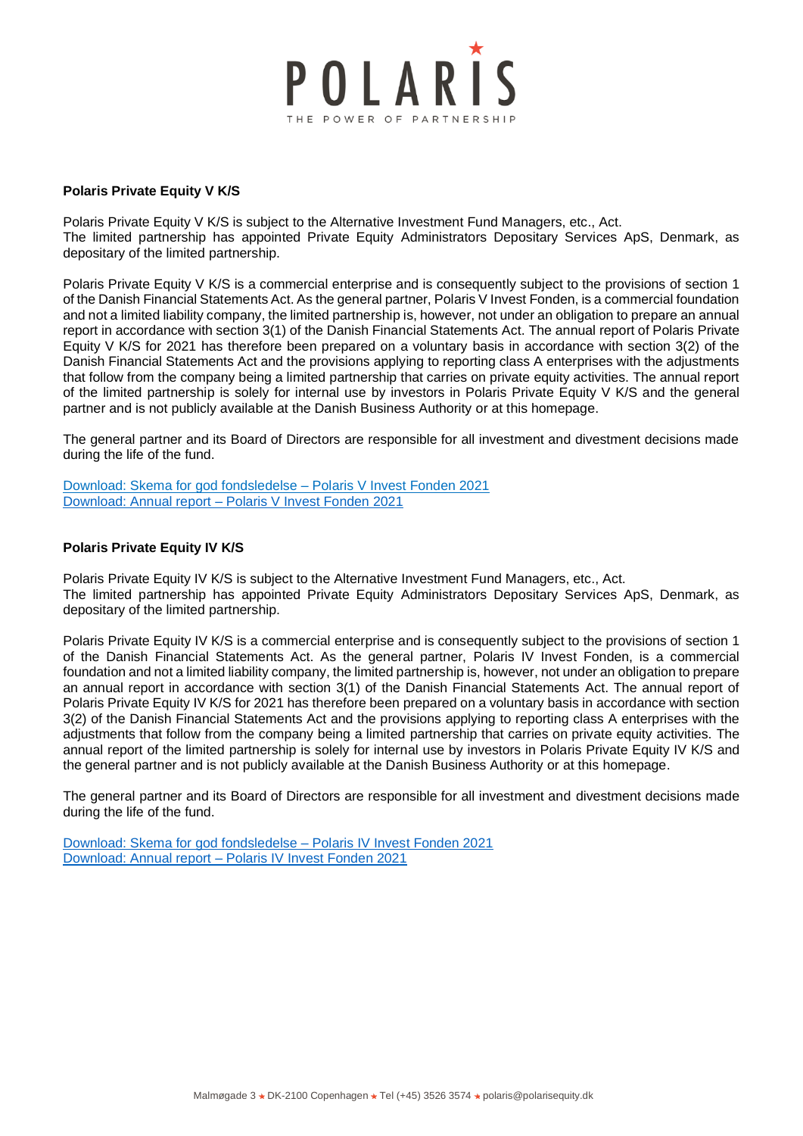

## **Polaris Private Equity V K/S**

Polaris Private Equity V K/S is subject to the Alternative Investment Fund Managers, etc., Act. The limited partnership has appointed Private Equity Administrators Depositary Services ApS, Denmark, as depositary of the limited partnership.

Polaris Private Equity V K/S is a commercial enterprise and is consequently subject to the provisions of section 1 of the Danish Financial Statements Act. As the general partner, Polaris V Invest Fonden, is a commercial foundation and not a limited liability company, the limited partnership is, however, not under an obligation to prepare an annual report in accordance with section 3(1) of the Danish Financial Statements Act. The annual report of Polaris Private Equity V K/S for 2021 has therefore been prepared on a voluntary basis in accordance with section 3(2) of the Danish Financial Statements Act and the provisions applying to reporting class A enterprises with the adjustments that follow from the company being a limited partnership that carries on private equity activities. The annual report of the limited partnership is solely for internal use by investors in Polaris Private Equity V K/S and the general partner and is not publicly available at the Danish Business Authority or at this homepage.

The general partner and its Board of Directors are responsible for all investment and divestment decisions made during the life of the fund.

[Download: Skema for god fondsledelse –](https://polarisequity.dk/wp-content/uploads/2022/03/Skema-til-Lovpligtig-redegorelse-for-god-fondsledelse-2021_fond-V_eksternt-dokument.pdf) Polaris V Invest Fonden 2021 Download: Annual report – [Polaris V Invest Fonden 2021](https://polarisequity.dk/wp-content/uploads/2022/03/Annual-Report-2021-Polaris-V-Invest-Fonden.pdf)

## **Polaris Private Equity IV K/S**

Polaris Private Equity IV K/S is subject to the Alternative Investment Fund Managers, etc., Act. The limited partnership has appointed Private Equity Administrators Depositary Services ApS, Denmark, as depositary of the limited partnership.

Polaris Private Equity IV K/S is a commercial enterprise and is consequently subject to the provisions of section 1 of the Danish Financial Statements Act. As the general partner, Polaris IV Invest Fonden, is a commercial foundation and not a limited liability company, the limited partnership is, however, not under an obligation to prepare an annual report in accordance with section 3(1) of the Danish Financial Statements Act. The annual report of Polaris Private Equity IV K/S for 2021 has therefore been prepared on a voluntary basis in accordance with section 3(2) of the Danish Financial Statements Act and the provisions applying to reporting class A enterprises with the adjustments that follow from the company being a limited partnership that carries on private equity activities. The annual report of the limited partnership is solely for internal use by investors in Polaris Private Equity IV K/S and the general partner and is not publicly available at the Danish Business Authority or at this homepage.

The general partner and its Board of Directors are responsible for all investment and divestment decisions made during the life of the fund.

[Download: Skema for god fondsledelse –](https://polarisequity.dk/wp-content/uploads/2022/03/Skema-til-Lovpligtig-redegorelse-for-god-fondsledelse-2021-fond-IV-eksternt-dokument.pdf) Polaris IV Invest Fonden 2021 [Download: Annual report –](https://polarisequity.dk/wp-content/uploads/2022/03/Annual-Report-2021-Polaris-IV-Invest-Fonden.pdf) Polaris IV Invest Fonden 2021